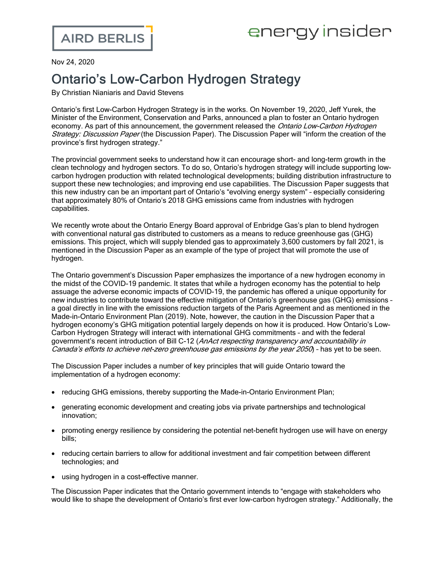## energy insider

Nov 24, 2020

## Ontario's Low-Carbon Hydrogen Strategy

By Christian Nianiaris and David Stevens

Ontario's first Low-Carbon Hydrogen Strategy is in the works. On November 19, 2020, Jeff Yurek, the Minister of the Environment, Conservation and Parks, [announced](https://news.ontario.ca/en/release/59270/province-begins-development-of-ontarios-first-ever-hydrogen-strategy) a plan to foster an Ontario hydrogen economy. As part of this announcement, the government released the *Ontario [Low-Carbon](https://prod-environmental-registry.s3.amazonaws.com/2020-11/Ontario%20Low-Carbon%20Hydrogen%20Strategy%20-%20discussion%20paper.pdf) Hydrogen* [Strategy:](https://prod-environmental-registry.s3.amazonaws.com/2020-11/Ontario%20Low-Carbon%20Hydrogen%20Strategy%20-%20discussion%20paper.pdf) Discussion Paper (the Discussion Paper). The Discussion Paper will "inform the creation of the province's first hydrogen strategy."

The provincial government seeks to understand how it can encourage short- and long-term growth in the clean technology and hydrogen sectors. To do so, Ontario's hydrogen strategy will include supporting lowcarbon hydrogen production with related technological developments; building distribution infrastructure to support these new technologies; and improving end use capabilities. The Discussion Paper suggests that this new industry can be an important part of Ontario's "evolving energy system" – especially considering that approximately 80% of Ontario's 2018 GHG emissions came from industries with hydrogen capabilities.

We [recently](https://www.airdberlis.com/insights/blogs/energyinsider/post/ei-item/ontario-energy-board-approves-hydrogen-blending-pilot-project) wrote about the Ontario Energy Board approval of Enbridge Gas's plan to blend hydrogen with conventional natural gas distributed to customers as a means to reduce greenhouse gas (GHG) emissions. This project, which will supply blended gas to approximately 3,600 customers by fall 2021, is mentioned in the Discussion Paper as an example of the type of project that will promote the use of hydrogen.

The Ontario government's Discussion Paper emphasizes the importance of a new hydrogen economy in the midst of the COVID-19 pandemic. It states that while a hydrogen economy has the potential to help assuage the adverse economic impacts of COVID-19, the pandemic has offered a unique opportunity for new industries to contribute toward the effective mitigation of Ontario's greenhouse gas (GHG) emissions – a goal directly in line with the emissions reduction targets of the Paris [Agreement](https://unfccc.int/files/essential_background/convention/application/pdf/english_paris_agreement.pdf) and as mentioned in the [Made-in-Ontario](https://www.ontario.ca/page/made-in-ontario-environment-plan) Environment Plan (2019). Note, however, the caution in the Discussion Paper that a hydrogen economy's GHG mitigation potential largely depends on how it is produced. How Ontario's Low-Carbon Hydrogen Strategy will interact with international GHG commitments – and with the federal government's recent introduction of Bill [C-12](https://parl.ca/DocumentViewer/en/43-2/bill/C-12/first-reading) (*AnAct respecting transparency and accountability in* Canada's efforts to achieve net-zero greenhouse gas emissions by the year 2050) - has yet to be seen.

The Discussion Paper includes a number of key principles that will guide Ontario toward the implementation of a hydrogen economy:

- · reducing GHG emissions, thereby supporting the Made-in-Ontario Environment Plan;
- · generating economic development and creating jobs via private partnerships and technological innovation;
- · promoting energy resilience by considering the potential net-benefit hydrogen use will have on energy bills;
- reducing certain barriers to allow for additional investment and fair competition between different technologies; and
- · using hydrogen in a cost-effective manner.

The Discussion Paper indicates that the Ontario government intends to "engage with stakeholders who would like to shape the development of Ontario's first ever low-carbon hydrogen strategy." Additionally, the